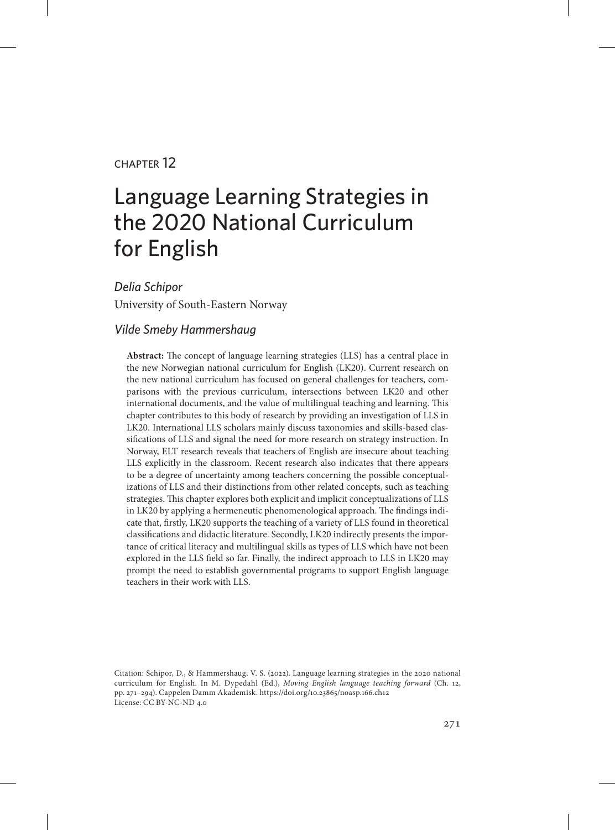#### chapter 12

# Language Learning Strategies in the 2020 National Curriculum for English

*Delia Schipor* University of South-Eastern Norway

#### *Vilde Smeby Hammershaug*

**Abstract:** The concept of language learning strategies (LLS) has a central place in the new Norwegian national curriculum for English (LK20). Current research on the new national curriculum has focused on general challenges for teachers, comparisons with the previous curriculum, intersections between LK20 and other international documents, and the value of multilingual teaching and learning. This chapter contributes to this body of research by providing an investigation of LLS in LK20. International LLS scholars mainly discuss taxonomies and skills-based classifications of LLS and signal the need for more research on strategy instruction. In Norway, ELT research reveals that teachers of English are insecure about teaching LLS explicitly in the classroom. Recent research also indicates that there appears to be a degree of uncertainty among teachers concerning the possible conceptualizations of LLS and their distinctions from other related concepts, such as teaching strategies. This chapter explores both explicit and implicit conceptualizations of LLS in LK20 by applying a hermeneutic phenomenological approach. The findings indicate that, firstly, LK20 supports the teaching of a variety of LLS found in theoretical classifications and didactic literature. Secondly, LK20 indirectly presents the importance of critical literacy and multilingual skills as types of LLS which have not been explored in the LLS field so far. Finally, the indirect approach to LLS in LK20 may prompt the need to establish governmental programs to support English language teachers in their work with LLS.

Citation: Schipor, D., & Hammershaug, V. S. (2022). Language learning strategies in the 2020 national curriculum for English. In M. Dypedahl (Ed.), *Moving English language teaching forward* (Ch. 12, pp. 271–294). Cappelen Damm Akademisk. https://doi.org/10.23865/noasp.166.ch12 License: CC BY-NC-ND 4.0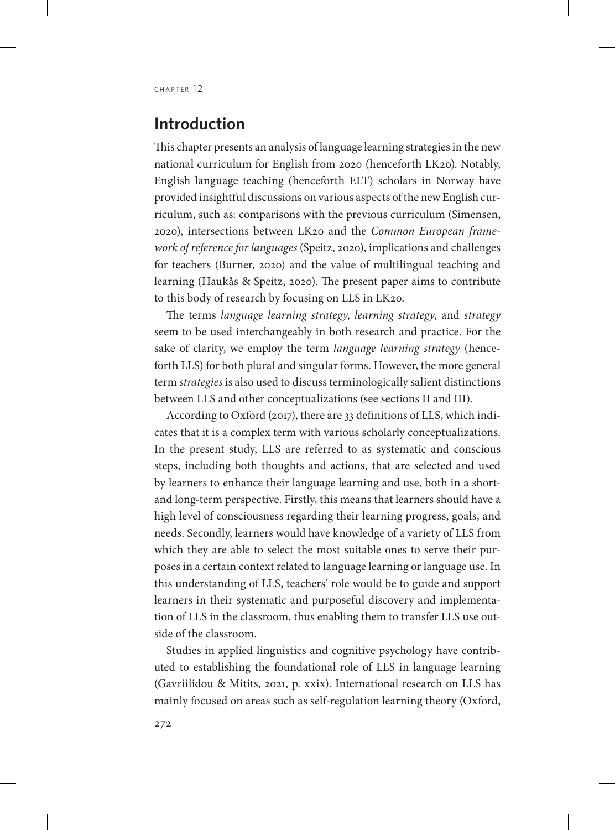#### **Introduction**

This chapter presents an analysis of language learning strategies in the new national curriculum for English from 2020 (henceforth LK20). Notably, English language teaching (henceforth ELT) scholars in Norway have provided insightful discussions on various aspects of the new English curriculum, such as: comparisons with the previous curriculum (Simensen, 2020), intersections between LK20 and the *Common European framework of reference for languages* (Speitz, 2020), implications and challenges for teachers (Burner, 2020) and the value of multilingual teaching and learning (Haukås & Speitz, 2020). The present paper aims to contribute to this body of research by focusing on LLS in LK20.

The terms *language learning strategy*, *learning strategy*, and *strategy* seem to be used interchangeably in both research and practice. For the sake of clarity, we employ the term *language learning strategy* (henceforth LLS) for both plural and singular forms. However, the more general term *strategies* is also used to discuss terminologically salient distinctions between LLS and other conceptualizations (see sections II and III).

According to Oxford (2017), there are 33 definitions of LLS, which indicates that it is a complex term with various scholarly conceptualizations. In the present study, LLS are referred to as systematic and conscious steps, including both thoughts and actions, that are selected and used by learners to enhance their language learning and use, both in a shortand long-term perspective. Firstly, this means that learners should have a high level of consciousness regarding their learning progress, goals, and needs. Secondly, learners would have knowledge of a variety of LLS from which they are able to select the most suitable ones to serve their purposes in a certain context related to language learning or language use. In this understanding of LLS, teachers' role would be to guide and support learners in their systematic and purposeful discovery and implementation of LLS in the classroom, thus enabling them to transfer LLS use outside of the classroom.

Studies in applied linguistics and cognitive psychology have contributed to establishing the foundational role of LLS in language learning (Gavriilidou & Mitits, 2021, p. xxix). International research on LLS has mainly focused on areas such as self-regulation learning theory (Oxford,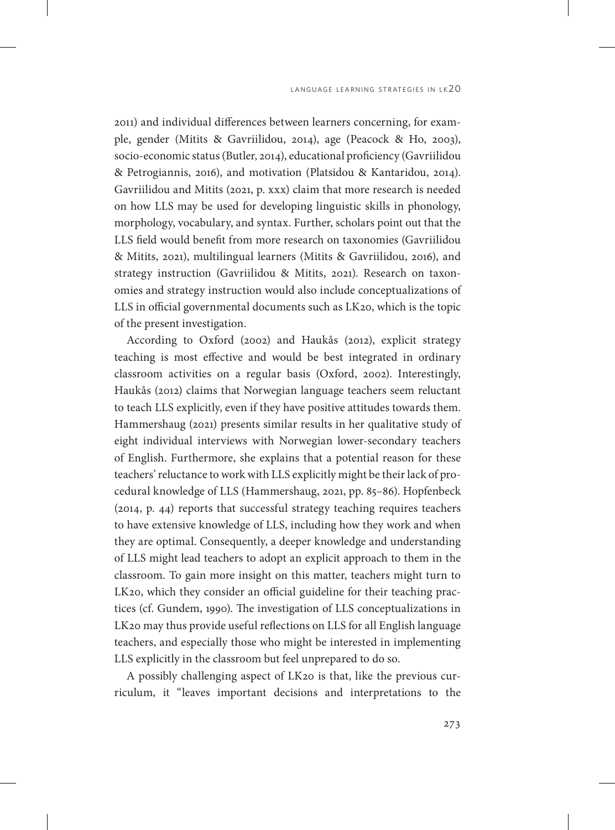2011) and individual differences between learners concerning, for example, gender (Mitits & Gavriilidou, 2014), age (Peacock & Ho, 2003), socio-economic status (Butler, 2014), educational proficiency (Gavriilidou & Petrogiannis, 2016), and motivation (Platsidou & Kantaridou, 2014). Gavriilidou and Mitits (2021, p. xxx) claim that more research is needed on how LLS may be used for developing linguistic skills in phonology, morphology, vocabulary, and syntax. Further, scholars point out that the LLS field would benefit from more research on taxonomies (Gavriilidou & Mitits, 2021), multilingual learners (Mitits & Gavriilidou, 2016), and strategy instruction (Gavriilidou & Mitits, 2021). Research on taxonomies and strategy instruction would also include conceptualizations of LLS in official governmental documents such as LK20, which is the topic of the present investigation.

According to Oxford (2002) and Haukås (2012), explicit strategy teaching is most effective and would be best integrated in ordinary classroom activities on a regular basis (Oxford, 2002). Interestingly, Haukås (2012) claims that Norwegian language teachers seem reluctant to teach LLS explicitly, even if they have positive attitudes towards them. Hammershaug (2021) presents similar results in her qualitative study of eight individual interviews with Norwegian lower-secondary teachers of English. Furthermore, she explains that a potential reason for these teachers' reluctance to work with LLS explicitly might be their lack of procedural knowledge of LLS (Hammershaug, 2021, pp. 85–86). Hopfenbeck (2014, p. 44) reports that successful strategy teaching requires teachers to have extensive knowledge of LLS, including how they work and when they are optimal. Consequently, a deeper knowledge and understanding of LLS might lead teachers to adopt an explicit approach to them in the classroom. To gain more insight on this matter, teachers might turn to LK20, which they consider an official guideline for their teaching practices (cf. Gundem, 1990). The investigation of LLS conceptualizations in LK20 may thus provide useful reflections on LLS for all English language teachers, and especially those who might be interested in implementing LLS explicitly in the classroom but feel unprepared to do so.

A possibly challenging aspect of LK20 is that, like the previous curriculum, it "leaves important decisions and interpretations to the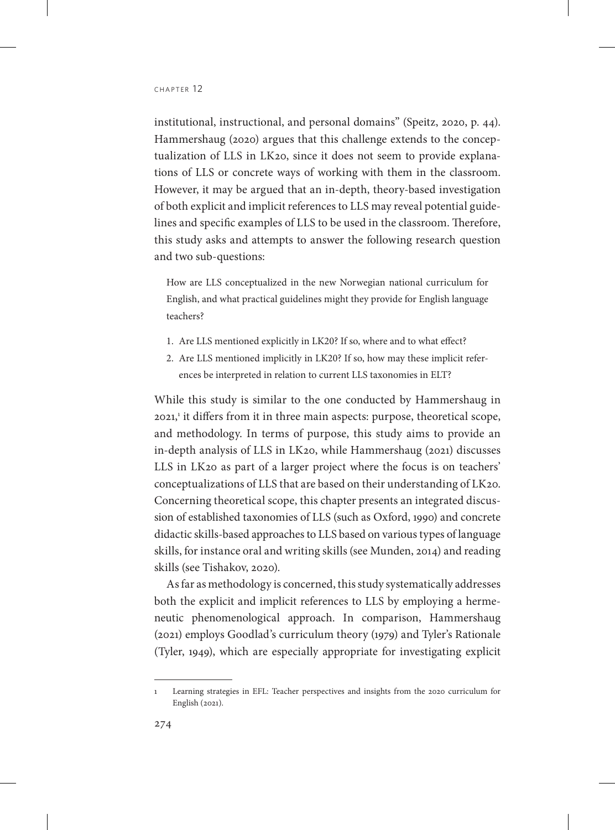institutional, instructional, and personal domains" (Speitz, 2020, p. 44). Hammershaug (2020) argues that this challenge extends to the conceptualization of LLS in LK20, since it does not seem to provide explanations of LLS or concrete ways of working with them in the classroom. However, it may be argued that an in-depth, theory-based investigation of both explicit and implicit references to LLS may reveal potential guidelines and specific examples of LLS to be used in the classroom. Therefore, this study asks and attempts to answer the following research question and two sub-questions:

How are LLS conceptualized in the new Norwegian national curriculum for English, and what practical guidelines might they provide for English language teachers?

- 1. Are LLS mentioned explicitly in LK20? If so, where and to what effect?
- 2. Are LLS mentioned implicitly in LK20? If so, how may these implicit references be interpreted in relation to current LLS taxonomies in ELT?

While this study is similar to the one conducted by Hammershaug in 2021,<sup>1</sup> it differs from it in three main aspects: purpose, theoretical scope, and methodology. In terms of purpose, this study aims to provide an in-depth analysis of LLS in LK20, while Hammershaug (2021) discusses LLS in LK20 as part of a larger project where the focus is on teachers' conceptualizations of LLS that are based on their understanding of LK20. Concerning theoretical scope, this chapter presents an integrated discussion of established taxonomies of LLS (such as Oxford, 1990) and concrete didactic skills-based approaches to LLS based on various types of language skills, for instance oral and writing skills (see Munden, 2014) and reading skills (see Tishakov, 2020).

As far as methodology is concerned, this study systematically addresses both the explicit and implicit references to LLS by employing a hermeneutic phenomenological approach. In comparison, Hammershaug (2021) employs Goodlad's curriculum theory (1979) and Tyler's Rationale (Tyler, 1949), which are especially appropriate for investigating explicit

<sup>1</sup> Learning strategies in EFL: Teacher perspectives and insights from the 2020 curriculum for English (2021).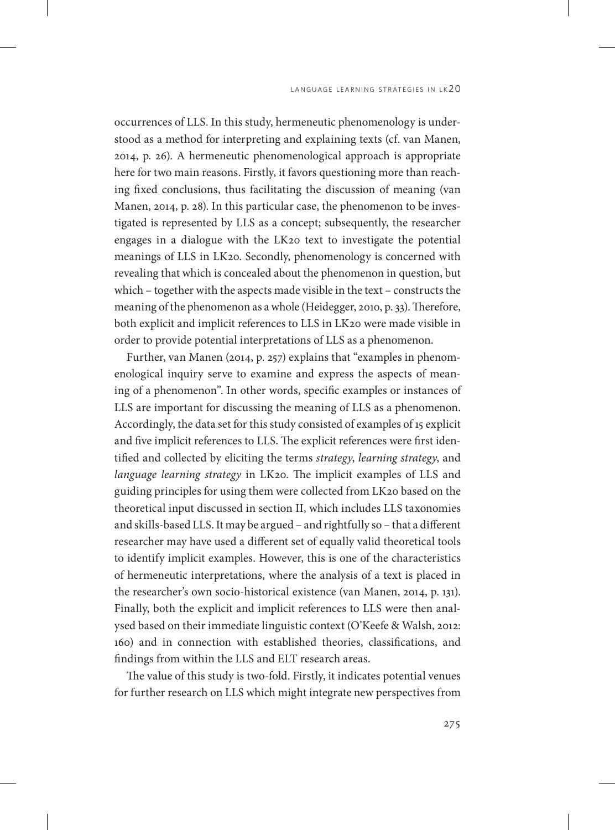occurrences of LLS. In this study, hermeneutic phenomenology is understood as a method for interpreting and explaining texts (cf. van Manen, 2014, p. 26). A hermeneutic phenomenological approach is appropriate here for two main reasons. Firstly, it favors questioning more than reaching fixed conclusions, thus facilitating the discussion of meaning (van Manen, 2014, p. 28). In this particular case, the phenomenon to be investigated is represented by LLS as a concept; subsequently, the researcher engages in a dialogue with the LK20 text to investigate the potential meanings of LLS in LK20. Secondly, phenomenology is concerned with revealing that which is concealed about the phenomenon in question, but which – together with the aspects made visible in the text – constructs the meaning of the phenomenon as a whole (Heidegger, 2010, p. 33). Therefore, both explicit and implicit references to LLS in LK20 were made visible in order to provide potential interpretations of LLS as a phenomenon.

Further, van Manen (2014, p. 257) explains that "examples in phenomenological inquiry serve to examine and express the aspects of meaning of a phenomenon". In other words, specific examples or instances of LLS are important for discussing the meaning of LLS as a phenomenon. Accordingly, the data set for this study consisted of examples of 15 explicit and five implicit references to LLS. The explicit references were first identified and collected by eliciting the terms *strategy*, *learning strategy*, and *language learning strategy* in LK20. The implicit examples of LLS and guiding principles for using them were collected from LK20 based on the theoretical input discussed in section II, which includes LLS taxonomies and skills-based LLS. It may be argued – and rightfully so – that a different researcher may have used a different set of equally valid theoretical tools to identify implicit examples. However, this is one of the characteristics of hermeneutic interpretations, where the analysis of a text is placed in the researcher's own socio-historical existence (van Manen, 2014, p. 131). Finally, both the explicit and implicit references to LLS were then analysed based on their immediate linguistic context (O'Keefe & Walsh, 2012: 160) and in connection with established theories, classifications, and findings from within the LLS and ELT research areas.

The value of this study is two-fold. Firstly, it indicates potential venues for further research on LLS which might integrate new perspectives from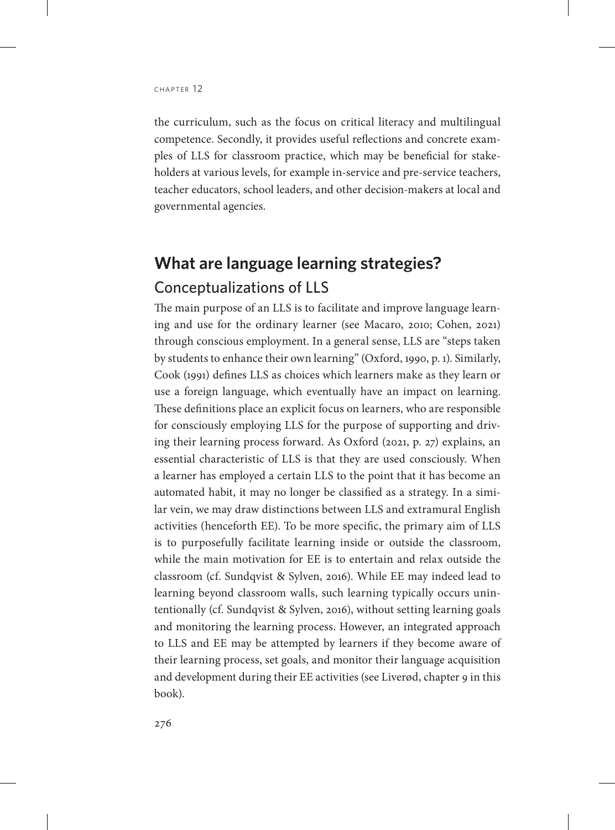the curriculum, such as the focus on critical literacy and multilingual competence. Secondly, it provides useful reflections and concrete examples of LLS for classroom practice, which may be beneficial for stakeholders at various levels, for example in-service and pre-service teachers, teacher educators, school leaders, and other decision-makers at local and governmental agencies.

## **What are language learning strategies?** Conceptualizations of LLS

The main purpose of an LLS is to facilitate and improve language learning and use for the ordinary learner (see Macaro, 2010; Cohen, 2021) through conscious employment. In a general sense, LLS are "steps taken by students to enhance their own learning" (Oxford, 1990, p. 1). Similarly, Cook (1991) defines LLS as choices which learners make as they learn or use a foreign language, which eventually have an impact on learning. These definitions place an explicit focus on learners, who are responsible for consciously employing LLS for the purpose of supporting and driving their learning process forward. As Oxford (2021, p. 27) explains, an essential characteristic of LLS is that they are used consciously. When a learner has employed a certain LLS to the point that it has become an automated habit, it may no longer be classified as a strategy. In a similar vein, we may draw distinctions between LLS and extramural English activities (henceforth EE). To be more specific, the primary aim of LLS is to purposefully facilitate learning inside or outside the classroom, while the main motivation for EE is to entertain and relax outside the classroom (cf. Sundqvist & Sylven, 2016). While EE may indeed lead to learning beyond classroom walls, such learning typically occurs unintentionally (cf. Sundqvist & Sylven, 2016), without setting learning goals and monitoring the learning process. However, an integrated approach to LLS and EE may be attempted by learners if they become aware of their learning process, set goals, and monitor their language acquisition and development during their EE activities (see Liverød, chapter 9 in this book).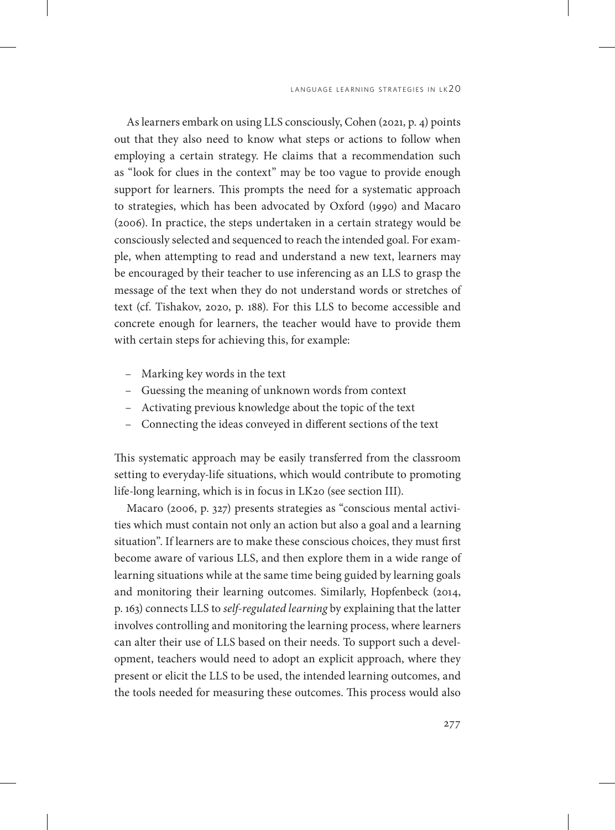As learners embark on using LLS consciously, Cohen (2021, p. 4) points out that they also need to know what steps or actions to follow when employing a certain strategy. He claims that a recommendation such as "look for clues in the context" may be too vague to provide enough support for learners. This prompts the need for a systematic approach to strategies, which has been advocated by Oxford (1990) and Macaro (2006). In practice, the steps undertaken in a certain strategy would be consciously selected and sequenced to reach the intended goal. For example, when attempting to read and understand a new text, learners may be encouraged by their teacher to use inferencing as an LLS to grasp the message of the text when they do not understand words or stretches of text (cf. Tishakov, 2020, p. 188). For this LLS to become accessible and concrete enough for learners, the teacher would have to provide them with certain steps for achieving this, for example:

- Marking key words in the text
- Guessing the meaning of unknown words from context
- Activating previous knowledge about the topic of the text
- Connecting the ideas conveyed in different sections of the text

This systematic approach may be easily transferred from the classroom setting to everyday-life situations, which would contribute to promoting life-long learning, which is in focus in LK20 (see section III).

Macaro (2006, p. 327) presents strategies as "conscious mental activities which must contain not only an action but also a goal and a learning situation". If learners are to make these conscious choices, they must first become aware of various LLS, and then explore them in a wide range of learning situations while at the same time being guided by learning goals and monitoring their learning outcomes. Similarly, Hopfenbeck (2014, p. 163) connects LLS to *self-regulated learning* by explaining that the latter involves controlling and monitoring the learning process, where learners can alter their use of LLS based on their needs. To support such a development, teachers would need to adopt an explicit approach, where they present or elicit the LLS to be used, the intended learning outcomes, and the tools needed for measuring these outcomes. This process would also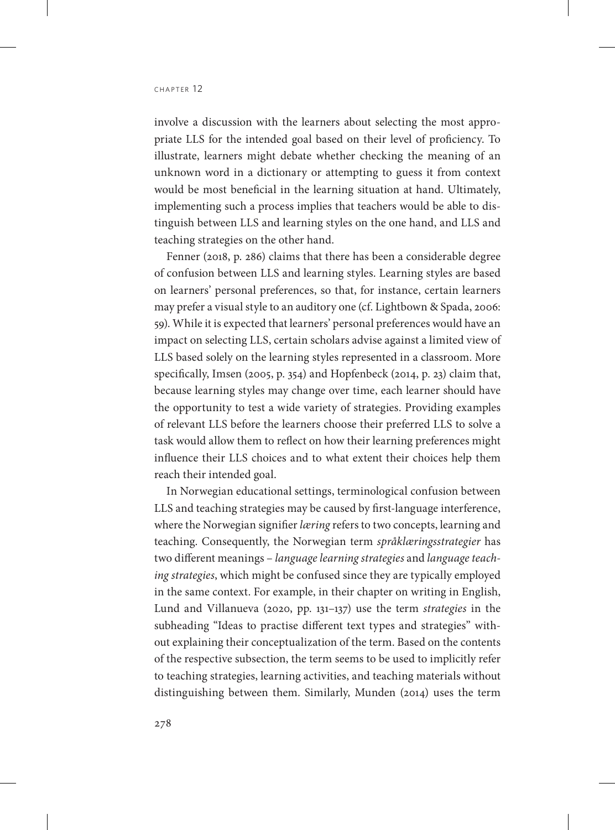involve a discussion with the learners about selecting the most appropriate LLS for the intended goal based on their level of proficiency. To illustrate, learners might debate whether checking the meaning of an unknown word in a dictionary or attempting to guess it from context would be most beneficial in the learning situation at hand. Ultimately, implementing such a process implies that teachers would be able to distinguish between LLS and learning styles on the one hand, and LLS and teaching strategies on the other hand.

Fenner (2018, p. 286) claims that there has been a considerable degree of confusion between LLS and learning styles. Learning styles are based on learners' personal preferences, so that, for instance, certain learners may prefer a visual style to an auditory one (cf. Lightbown & Spada, 2006: 59). While it is expected that learners' personal preferences would have an impact on selecting LLS, certain scholars advise against a limited view of LLS based solely on the learning styles represented in a classroom. More specifically, Imsen (2005, p. 354) and Hopfenbeck (2014, p. 23) claim that, because learning styles may change over time, each learner should have the opportunity to test a wide variety of strategies. Providing examples of relevant LLS before the learners choose their preferred LLS to solve a task would allow them to reflect on how their learning preferences might influence their LLS choices and to what extent their choices help them reach their intended goal.

In Norwegian educational settings, terminological confusion between LLS and teaching strategies may be caused by first-language interference, where the Norwegian signifier *læring* refers to two concepts, learning and teaching. Consequently, the Norwegian term *språklæringsstrategier* has two different meanings – *language learning strategies* and *language teaching strategies*, which might be confused since they are typically employed in the same context. For example, in their chapter on writing in English, Lund and Villanueva (2020, pp. 131–137) use the term *strategies* in the subheading "Ideas to practise different text types and strategies" without explaining their conceptualization of the term. Based on the contents of the respective subsection, the term seems to be used to implicitly refer to teaching strategies, learning activities, and teaching materials without distinguishing between them. Similarly, Munden (2014) uses the term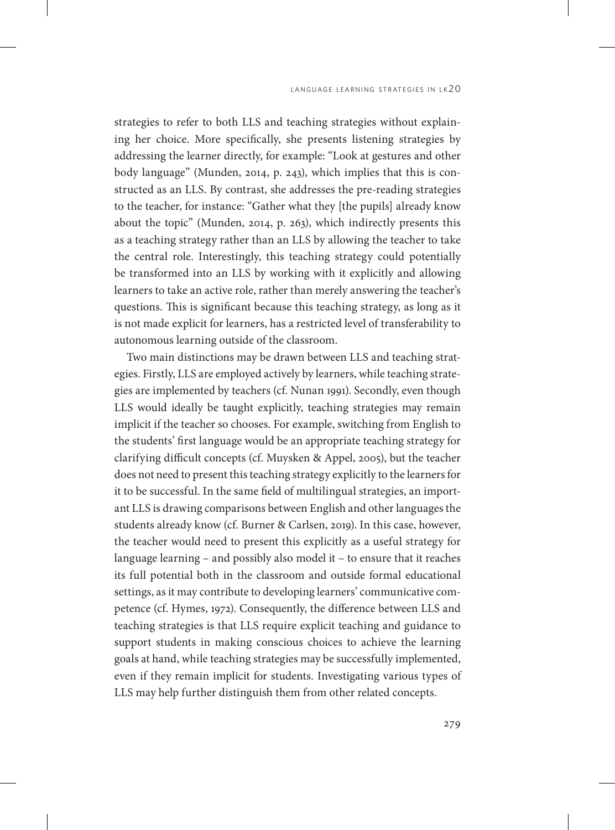strategies to refer to both LLS and teaching strategies without explaining her choice. More specifically, she presents listening strategies by addressing the learner directly, for example: "Look at gestures and other body language" (Munden, 2014, p. 243), which implies that this is constructed as an LLS. By contrast, she addresses the pre-reading strategies to the teacher, for instance: "Gather what they [the pupils] already know about the topic" (Munden, 2014, p. 263), which indirectly presents this as a teaching strategy rather than an LLS by allowing the teacher to take the central role. Interestingly, this teaching strategy could potentially be transformed into an LLS by working with it explicitly and allowing learners to take an active role, rather than merely answering the teacher's questions. This is significant because this teaching strategy, as long as it is not made explicit for learners, has a restricted level of transferability to autonomous learning outside of the classroom.

Two main distinctions may be drawn between LLS and teaching strategies. Firstly, LLS are employed actively by learners, while teaching strategies are implemented by teachers (cf. Nunan 1991). Secondly, even though LLS would ideally be taught explicitly, teaching strategies may remain implicit if the teacher so chooses. For example, switching from English to the students' first language would be an appropriate teaching strategy for clarifying difficult concepts (cf. Muysken & Appel, 2005), but the teacher does not need to present this teaching strategy explicitly to the learners for it to be successful. In the same field of multilingual strategies, an important LLS is drawing comparisons between English and other languages the students already know (cf. Burner & Carlsen, 2019). In this case, however, the teacher would need to present this explicitly as a useful strategy for language learning – and possibly also model it – to ensure that it reaches its full potential both in the classroom and outside formal educational settings, as it may contribute to developing learners' communicative competence (cf. Hymes, 1972). Consequently, the difference between LLS and teaching strategies is that LLS require explicit teaching and guidance to support students in making conscious choices to achieve the learning goals at hand, while teaching strategies may be successfully implemented, even if they remain implicit for students. Investigating various types of LLS may help further distinguish them from other related concepts.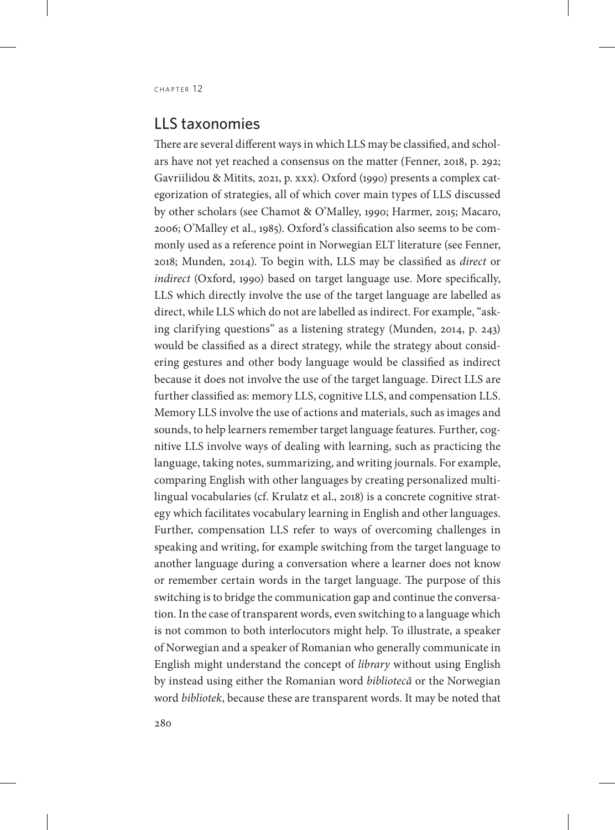#### LLS taxonomies

There are several different ways in which LLS may be classified, and scholars have not yet reached a consensus on the matter (Fenner, 2018, p. 292; Gavriilidou & Mitits, 2021, p. xxx). Oxford (1990) presents a complex categorization of strategies, all of which cover main types of LLS discussed by other scholars (see Chamot & O'Malley, 1990; Harmer, 2015; Macaro, 2006; O'Malley et al., 1985). Oxford's classification also seems to be commonly used as a reference point in Norwegian ELT literature (see Fenner, 2018; Munden, 2014). To begin with, LLS may be classified as *direct* or *indirect* (Oxford, 1990) based on target language use. More specifically, LLS which directly involve the use of the target language are labelled as direct, while LLS which do not are labelled as indirect. For example, "asking clarifying questions" as a listening strategy (Munden, 2014, p. 243) would be classified as a direct strategy, while the strategy about considering gestures and other body language would be classified as indirect because it does not involve the use of the target language. Direct LLS are further classified as: memory LLS, cognitive LLS, and compensation LLS. Memory LLS involve the use of actions and materials, such as images and sounds, to help learners remember target language features. Further, cognitive LLS involve ways of dealing with learning, such as practicing the language, taking notes, summarizing, and writing journals. For example, comparing English with other languages by creating personalized multilingual vocabularies (cf. Krulatz et al., 2018) is a concrete cognitive strategy which facilitates vocabulary learning in English and other languages. Further, compensation LLS refer to ways of overcoming challenges in speaking and writing, for example switching from the target language to another language during a conversation where a learner does not know or remember certain words in the target language. The purpose of this switching is to bridge the communication gap and continue the conversation. In the case of transparent words, even switching to a language which is not common to both interlocutors might help. To illustrate, a speaker of Norwegian and a speaker of Romanian who generally communicate in English might understand the concept of *library* without using English by instead using either the Romanian word *bibliotecă* or the Norwegian word *bibliotek*, because these are transparent words. It may be noted that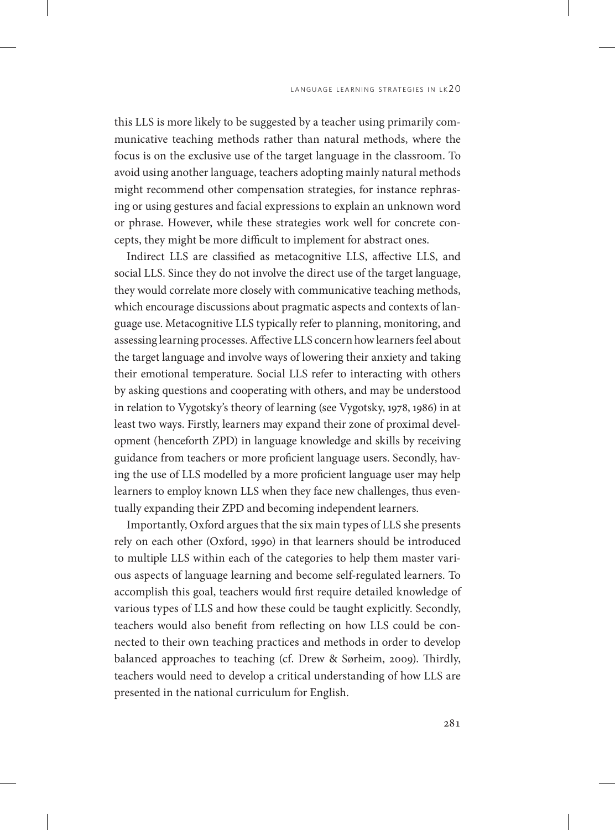this LLS is more likely to be suggested by a teacher using primarily communicative teaching methods rather than natural methods, where the focus is on the exclusive use of the target language in the classroom. To avoid using another language, teachers adopting mainly natural methods might recommend other compensation strategies, for instance rephrasing or using gestures and facial expressions to explain an unknown word or phrase. However, while these strategies work well for concrete concepts, they might be more difficult to implement for abstract ones.

Indirect LLS are classified as metacognitive LLS, affective LLS, and social LLS. Since they do not involve the direct use of the target language, they would correlate more closely with communicative teaching methods, which encourage discussions about pragmatic aspects and contexts of language use. Metacognitive LLS typically refer to planning, monitoring, and assessing learning processes. Affective LLS concern how learners feel about the target language and involve ways of lowering their anxiety and taking their emotional temperature. Social LLS refer to interacting with others by asking questions and cooperating with others, and may be understood in relation to Vygotsky's theory of learning (see Vygotsky, 1978, 1986) in at least two ways. Firstly, learners may expand their zone of proximal development (henceforth ZPD) in language knowledge and skills by receiving guidance from teachers or more proficient language users. Secondly, having the use of LLS modelled by a more proficient language user may help learners to employ known LLS when they face new challenges, thus eventually expanding their ZPD and becoming independent learners.

Importantly, Oxford argues that the six main types of LLS she presents rely on each other (Oxford, 1990) in that learners should be introduced to multiple LLS within each of the categories to help them master various aspects of language learning and become self-regulated learners. To accomplish this goal, teachers would first require detailed knowledge of various types of LLS and how these could be taught explicitly. Secondly, teachers would also benefit from reflecting on how LLS could be connected to their own teaching practices and methods in order to develop balanced approaches to teaching (cf. Drew & Sørheim, 2009). Thirdly, teachers would need to develop a critical understanding of how LLS are presented in the national curriculum for English.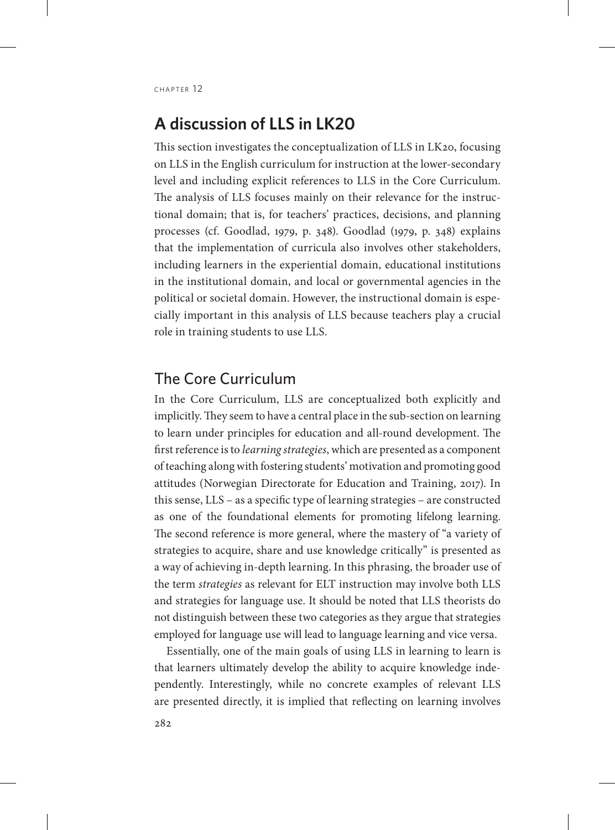### **A discussion of LLS in LK20**

This section investigates the conceptualization of LLS in LK20, focusing on LLS in the English curriculum for instruction at the lower-secondary level and including explicit references to LLS in the Core Curriculum. The analysis of LLS focuses mainly on their relevance for the instructional domain; that is, for teachers' practices, decisions, and planning processes (cf. Goodlad, 1979, p. 348). Goodlad (1979, p. 348) explains that the implementation of curricula also involves other stakeholders, including learners in the experiential domain, educational institutions in the institutional domain, and local or governmental agencies in the political or societal domain. However, the instructional domain is especially important in this analysis of LLS because teachers play a crucial role in training students to use LLS.

#### The Core Curriculum

In the Core Curriculum, LLS are conceptualized both explicitly and implicitly. They seem to have a central place in the sub-section on learning to learn under principles for education and all-round development. The first reference is to *learning strategies*, which are presented as a component of teaching along with fostering students' motivation and promoting good attitudes (Norwegian Directorate for Education and Training, 2017). In this sense, LLS – as a specific type of learning strategies – are constructed as one of the foundational elements for promoting lifelong learning. The second reference is more general, where the mastery of "a variety of strategies to acquire, share and use knowledge critically" is presented as a way of achieving in-depth learning. In this phrasing, the broader use of the term *strategies* as relevant for ELT instruction may involve both LLS and strategies for language use. It should be noted that LLS theorists do not distinguish between these two categories as they argue that strategies employed for language use will lead to language learning and vice versa.

Essentially, one of the main goals of using LLS in learning to learn is that learners ultimately develop the ability to acquire knowledge independently. Interestingly, while no concrete examples of relevant LLS are presented directly, it is implied that reflecting on learning involves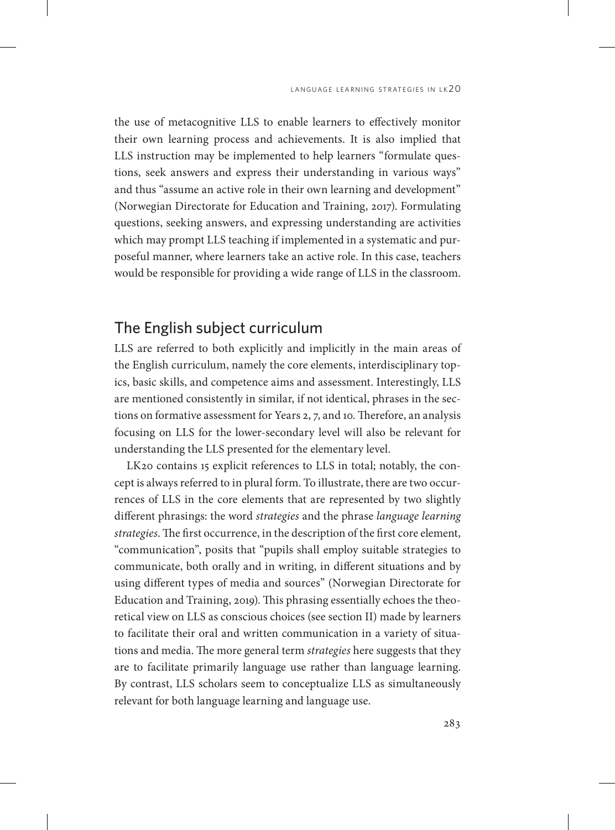the use of metacognitive LLS to enable learners to effectively monitor their own learning process and achievements. It is also implied that LLS instruction may be implemented to help learners "formulate questions, seek answers and express their understanding in various ways" and thus "assume an active role in their own learning and development" (Norwegian Directorate for Education and Training, 2017). Formulating questions, seeking answers, and expressing understanding are activities which may prompt LLS teaching if implemented in a systematic and purposeful manner, where learners take an active role. In this case, teachers would be responsible for providing a wide range of LLS in the classroom.

#### The English subject curriculum

LLS are referred to both explicitly and implicitly in the main areas of the English curriculum, namely the core elements, interdisciplinary topics, basic skills, and competence aims and assessment. Interestingly, LLS are mentioned consistently in similar, if not identical, phrases in the sections on formative assessment for Years 2, 7, and 10. Therefore, an analysis focusing on LLS for the lower-secondary level will also be relevant for understanding the LLS presented for the elementary level.

LK20 contains 15 explicit references to LLS in total; notably, the concept is always referred to in plural form. To illustrate, there are two occurrences of LLS in the core elements that are represented by two slightly different phrasings: the word *strategies* and the phrase *language learning strategies*. The first occurrence, in the description of the first core element, "communication", posits that "pupils shall employ suitable strategies to communicate, both orally and in writing, in different situations and by using different types of media and sources" (Norwegian Directorate for Education and Training, 2019). This phrasing essentially echoes the theoretical view on LLS as conscious choices (see section II) made by learners to facilitate their oral and written communication in a variety of situations and media. The more general term *strategies* here suggests that they are to facilitate primarily language use rather than language learning. By contrast, LLS scholars seem to conceptualize LLS as simultaneously relevant for both language learning and language use.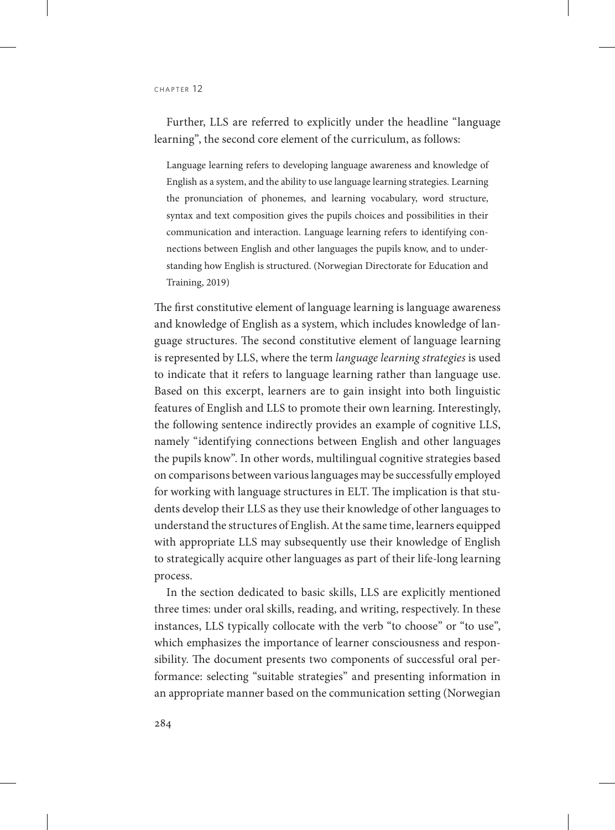CHAPTER 12

Further, LLS are referred to explicitly under the headline "language learning", the second core element of the curriculum, as follows:

Language learning refers to developing language awareness and knowledge of English as a system, and the ability to use language learning strategies. Learning the pronunciation of phonemes, and learning vocabulary, word structure, syntax and text composition gives the pupils choices and possibilities in their communication and interaction. Language learning refers to identifying connections between English and other languages the pupils know, and to understanding how English is structured. (Norwegian Directorate for Education and Training, 2019)

The first constitutive element of language learning is language awareness and knowledge of English as a system, which includes knowledge of language structures. The second constitutive element of language learning is represented by LLS, where the term *language learning strategies* is used to indicate that it refers to language learning rather than language use. Based on this excerpt, learners are to gain insight into both linguistic features of English and LLS to promote their own learning. Interestingly, the following sentence indirectly provides an example of cognitive LLS, namely "identifying connections between English and other languages the pupils know". In other words, multilingual cognitive strategies based on comparisons between various languages may be successfully employed for working with language structures in ELT. The implication is that students develop their LLS as they use their knowledge of other languages to understand the structures of English. At the same time, learners equipped with appropriate LLS may subsequently use their knowledge of English to strategically acquire other languages as part of their life-long learning process.

In the section dedicated to basic skills, LLS are explicitly mentioned three times: under oral skills, reading, and writing, respectively. In these instances, LLS typically collocate with the verb "to choose" or "to use", which emphasizes the importance of learner consciousness and responsibility. The document presents two components of successful oral performance: selecting "suitable strategies" and presenting information in an appropriate manner based on the communication setting (Norwegian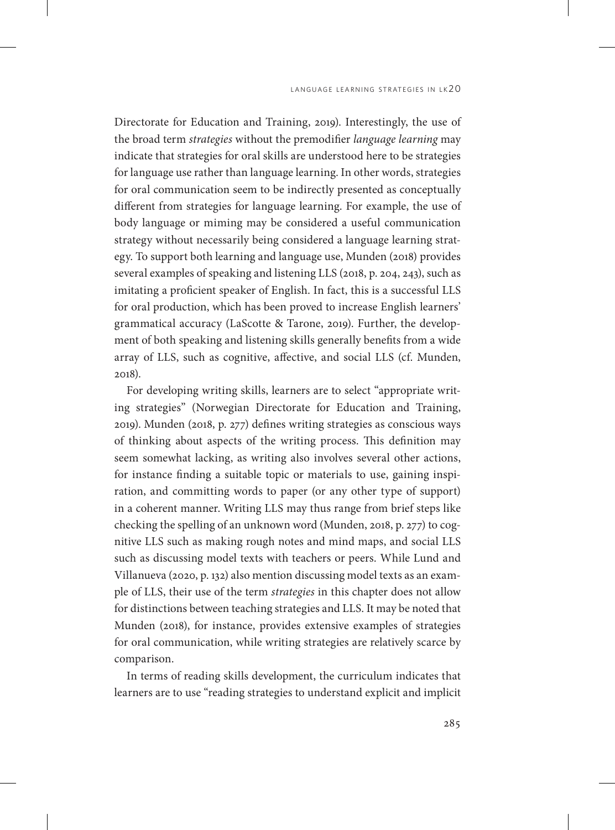Directorate for Education and Training, 2019). Interestingly, the use of the broad term *strategies* without the premodifier *language learning* may indicate that strategies for oral skills are understood here to be strategies for language use rather than language learning. In other words, strategies for oral communication seem to be indirectly presented as conceptually different from strategies for language learning. For example, the use of body language or miming may be considered a useful communication strategy without necessarily being considered a language learning strategy. To support both learning and language use, Munden (2018) provides several examples of speaking and listening LLS (2018, p. 204, 243), such as imitating a proficient speaker of English. In fact, this is a successful LLS for oral production, which has been proved to increase English learners' grammatical accuracy (LaScotte & Tarone, 2019). Further, the development of both speaking and listening skills generally benefits from a wide array of LLS, such as cognitive, affective, and social LLS (cf. Munden, 2018).

For developing writing skills, learners are to select "appropriate writing strategies" (Norwegian Directorate for Education and Training, 2019). Munden (2018, p. 277) defines writing strategies as conscious ways of thinking about aspects of the writing process. This definition may seem somewhat lacking, as writing also involves several other actions, for instance finding a suitable topic or materials to use, gaining inspiration, and committing words to paper (or any other type of support) in a coherent manner. Writing LLS may thus range from brief steps like checking the spelling of an unknown word (Munden, 2018, p. 277) to cognitive LLS such as making rough notes and mind maps, and social LLS such as discussing model texts with teachers or peers. While Lund and Villanueva (2020, p. 132) also mention discussing model texts as an example of LLS, their use of the term *strategies* in this chapter does not allow for distinctions between teaching strategies and LLS. It may be noted that Munden (2018), for instance, provides extensive examples of strategies for oral communication, while writing strategies are relatively scarce by comparison.

In terms of reading skills development, the curriculum indicates that learners are to use "reading strategies to understand explicit and implicit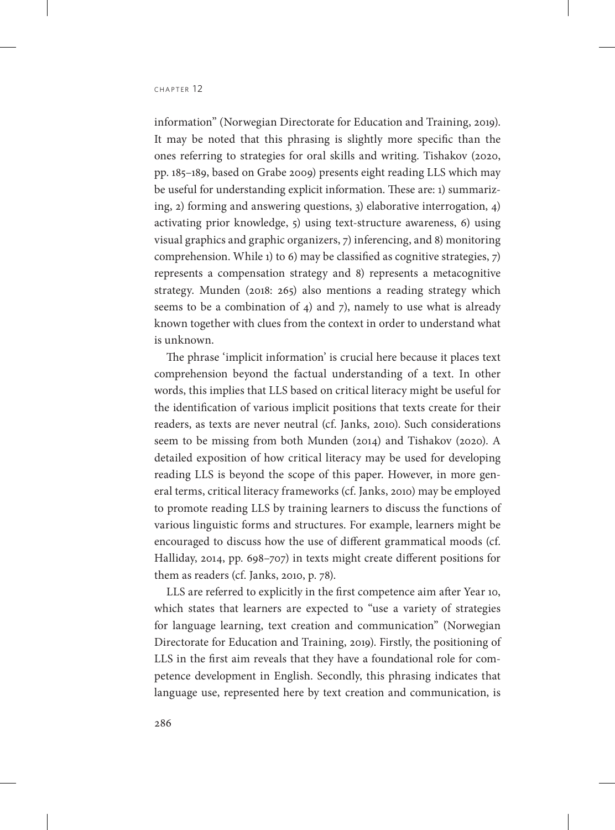information" (Norwegian Directorate for Education and Training, 2019). It may be noted that this phrasing is slightly more specific than the ones referring to strategies for oral skills and writing. Tishakov (2020, pp. 185–189, based on Grabe 2009) presents eight reading LLS which may be useful for understanding explicit information. These are: 1) summarizing, 2) forming and answering questions, 3) elaborative interrogation, 4) activating prior knowledge, 5) using text-structure awareness, 6) using visual graphics and graphic organizers, 7) inferencing, and 8) monitoring comprehension. While 1) to 6) may be classified as cognitive strategies, 7) represents a compensation strategy and 8) represents a metacognitive strategy. Munden (2018: 265) also mentions a reading strategy which seems to be a combination of 4) and 7), namely to use what is already known together with clues from the context in order to understand what is unknown.

The phrase 'implicit information' is crucial here because it places text comprehension beyond the factual understanding of a text. In other words, this implies that LLS based on critical literacy might be useful for the identification of various implicit positions that texts create for their readers, as texts are never neutral (cf. Janks, 2010). Such considerations seem to be missing from both Munden (2014) and Tishakov (2020). A detailed exposition of how critical literacy may be used for developing reading LLS is beyond the scope of this paper. However, in more general terms, critical literacy frameworks (cf. Janks, 2010) may be employed to promote reading LLS by training learners to discuss the functions of various linguistic forms and structures. For example, learners might be encouraged to discuss how the use of different grammatical moods (cf. Halliday, 2014, pp. 698–707) in texts might create different positions for them as readers (cf. Janks, 2010, p. 78).

LLS are referred to explicitly in the first competence aim after Year 10, which states that learners are expected to "use a variety of strategies for language learning, text creation and communication" (Norwegian Directorate for Education and Training, 2019). Firstly, the positioning of LLS in the first aim reveals that they have a foundational role for competence development in English. Secondly, this phrasing indicates that language use, represented here by text creation and communication, is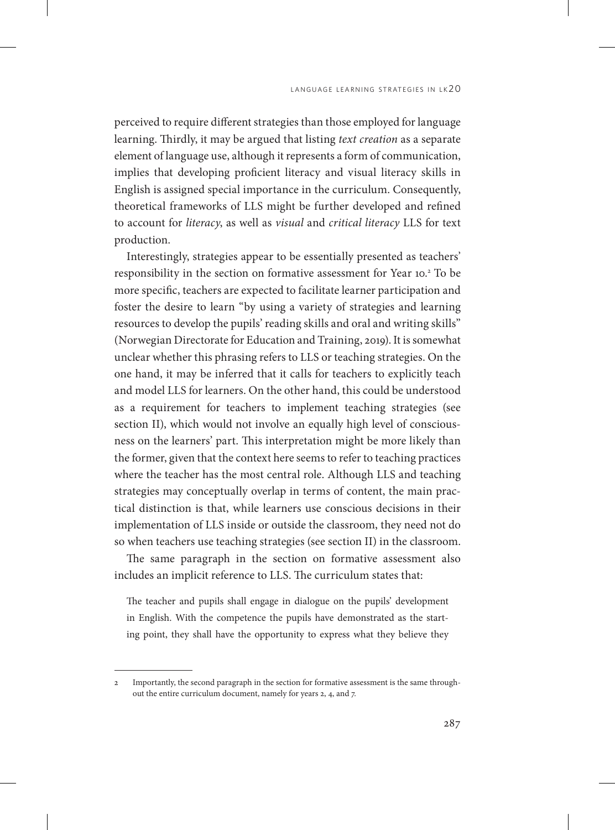perceived to require different strategies than those employed for language learning. Thirdly, it may be argued that listing *text creation* as a separate element of language use, although it represents a form of communication, implies that developing proficient literacy and visual literacy skills in English is assigned special importance in the curriculum. Consequently, theoretical frameworks of LLS might be further developed and refined to account for *literacy*, as well as *visual* and *critical literacy* LLS for text production.

Interestingly, strategies appear to be essentially presented as teachers' responsibility in the section on formative assessment for Year 10.2 To be more specific, teachers are expected to facilitate learner participation and foster the desire to learn "by using a variety of strategies and learning resources to develop the pupils' reading skills and oral and writing skills" (Norwegian Directorate for Education and Training, 2019). It is somewhat unclear whether this phrasing refers to LLS or teaching strategies. On the one hand, it may be inferred that it calls for teachers to explicitly teach and model LLS for learners. On the other hand, this could be understood as a requirement for teachers to implement teaching strategies (see section II), which would not involve an equally high level of consciousness on the learners' part. This interpretation might be more likely than the former, given that the context here seems to refer to teaching practices where the teacher has the most central role. Although LLS and teaching strategies may conceptually overlap in terms of content, the main practical distinction is that, while learners use conscious decisions in their implementation of LLS inside or outside the classroom, they need not do so when teachers use teaching strategies (see section II) in the classroom.

The same paragraph in the section on formative assessment also includes an implicit reference to LLS. The curriculum states that:

The teacher and pupils shall engage in dialogue on the pupils' development in English. With the competence the pupils have demonstrated as the starting point, they shall have the opportunity to express what they believe they

<sup>2</sup> Importantly, the second paragraph in the section for formative assessment is the same throughout the entire curriculum document, namely for years 2, 4, and 7.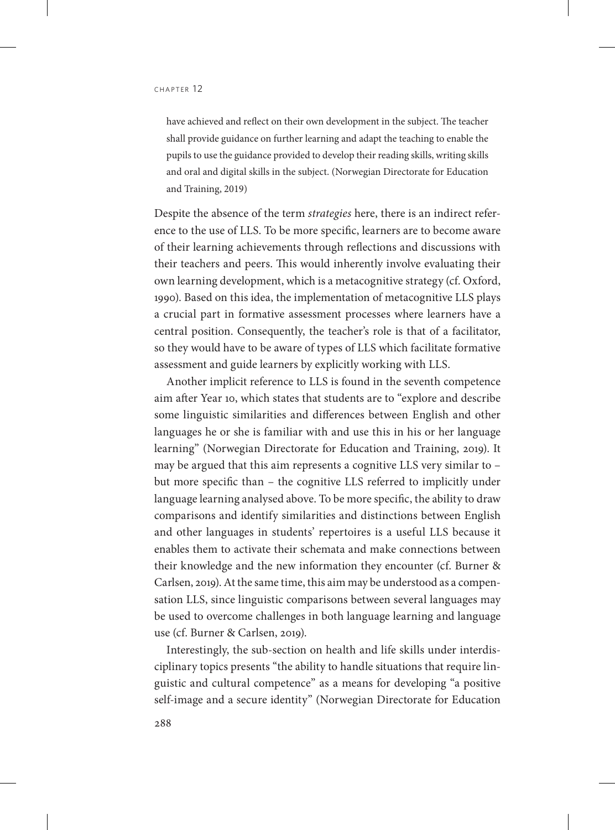have achieved and reflect on their own development in the subject. The teacher shall provide guidance on further learning and adapt the teaching to enable the pupils to use the guidance provided to develop their reading skills, writing skills and oral and digital skills in the subject. (Norwegian Directorate for Education and Training, 2019)

Despite the absence of the term *strategies* here, there is an indirect reference to the use of LLS. To be more specific, learners are to become aware of their learning achievements through reflections and discussions with their teachers and peers. This would inherently involve evaluating their own learning development, which is a metacognitive strategy (cf. Oxford, 1990). Based on this idea, the implementation of metacognitive LLS plays a crucial part in formative assessment processes where learners have a central position. Consequently, the teacher's role is that of a facilitator, so they would have to be aware of types of LLS which facilitate formative assessment and guide learners by explicitly working with LLS.

Another implicit reference to LLS is found in the seventh competence aim after Year 10, which states that students are to "explore and describe some linguistic similarities and differences between English and other languages he or she is familiar with and use this in his or her language learning" (Norwegian Directorate for Education and Training, 2019). It may be argued that this aim represents a cognitive LLS very similar to – but more specific than – the cognitive LLS referred to implicitly under language learning analysed above. To be more specific, the ability to draw comparisons and identify similarities and distinctions between English and other languages in students' repertoires is a useful LLS because it enables them to activate their schemata and make connections between their knowledge and the new information they encounter (cf. Burner & Carlsen, 2019). At the same time, this aim may be understood as a compensation LLS, since linguistic comparisons between several languages may be used to overcome challenges in both language learning and language use (cf. Burner & Carlsen, 2019).

Interestingly, the sub-section on health and life skills under interdisciplinary topics presents "the ability to handle situations that require linguistic and cultural competence" as a means for developing "a positive self-image and a secure identity" (Norwegian Directorate for Education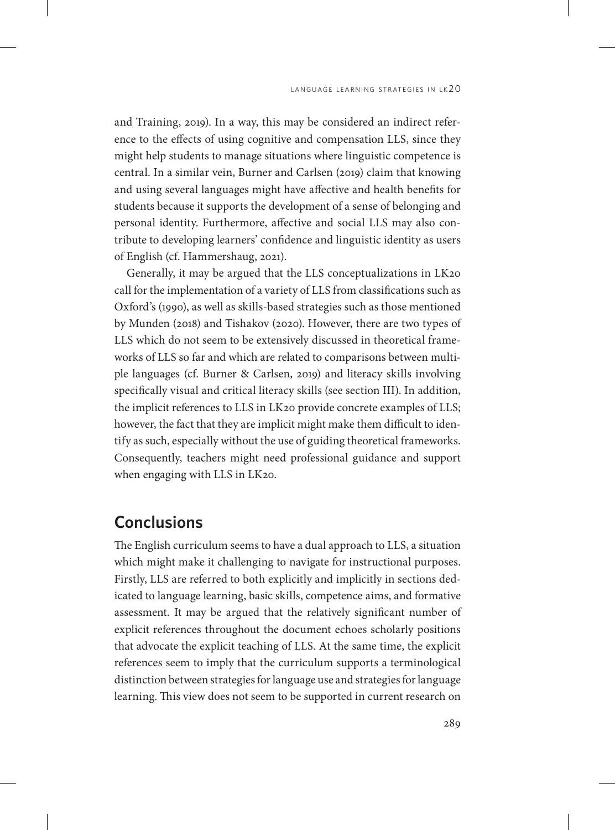and Training, 2019). In a way, this may be considered an indirect reference to the effects of using cognitive and compensation LLS, since they might help students to manage situations where linguistic competence is central. In a similar vein, Burner and Carlsen (2019) claim that knowing and using several languages might have affective and health benefits for students because it supports the development of a sense of belonging and personal identity. Furthermore, affective and social LLS may also contribute to developing learners' confidence and linguistic identity as users of English (cf. Hammershaug, 2021).

Generally, it may be argued that the LLS conceptualizations in LK20 call for the implementation of a variety of LLS from classifications such as Oxford's (1990), as well as skills-based strategies such as those mentioned by Munden (2018) and Tishakov (2020). However, there are two types of LLS which do not seem to be extensively discussed in theoretical frameworks of LLS so far and which are related to comparisons between multiple languages (cf. Burner & Carlsen, 2019) and literacy skills involving specifically visual and critical literacy skills (see section III). In addition, the implicit references to LLS in LK20 provide concrete examples of LLS; however, the fact that they are implicit might make them difficult to identify as such, especially without the use of guiding theoretical frameworks. Consequently, teachers might need professional guidance and support when engaging with LLS in LK20.

#### **Conclusions**

The English curriculum seems to have a dual approach to LLS, a situation which might make it challenging to navigate for instructional purposes. Firstly, LLS are referred to both explicitly and implicitly in sections dedicated to language learning, basic skills, competence aims, and formative assessment. It may be argued that the relatively significant number of explicit references throughout the document echoes scholarly positions that advocate the explicit teaching of LLS. At the same time, the explicit references seem to imply that the curriculum supports a terminological distinction between strategies for language use and strategies for language learning. This view does not seem to be supported in current research on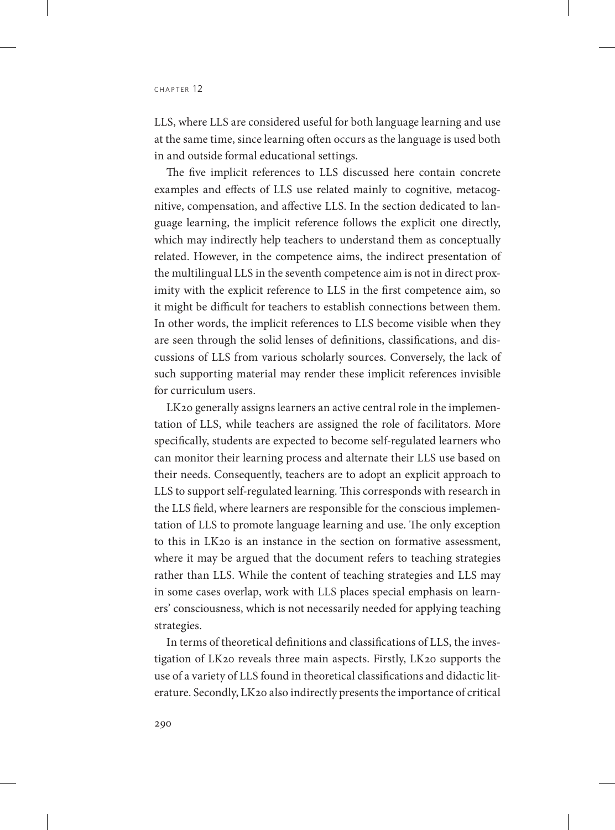LLS, where LLS are considered useful for both language learning and use at the same time, since learning often occurs as the language is used both in and outside formal educational settings.

The five implicit references to LLS discussed here contain concrete examples and effects of LLS use related mainly to cognitive, metacognitive, compensation, and affective LLS. In the section dedicated to language learning, the implicit reference follows the explicit one directly, which may indirectly help teachers to understand them as conceptually related. However, in the competence aims, the indirect presentation of the multilingual LLS in the seventh competence aim is not in direct proximity with the explicit reference to LLS in the first competence aim, so it might be difficult for teachers to establish connections between them. In other words, the implicit references to LLS become visible when they are seen through the solid lenses of definitions, classifications, and discussions of LLS from various scholarly sources. Conversely, the lack of such supporting material may render these implicit references invisible for curriculum users.

LK20 generally assigns learners an active central role in the implementation of LLS, while teachers are assigned the role of facilitators. More specifically, students are expected to become self-regulated learners who can monitor their learning process and alternate their LLS use based on their needs. Consequently, teachers are to adopt an explicit approach to LLS to support self-regulated learning. This corresponds with research in the LLS field, where learners are responsible for the conscious implementation of LLS to promote language learning and use. The only exception to this in LK20 is an instance in the section on formative assessment, where it may be argued that the document refers to teaching strategies rather than LLS. While the content of teaching strategies and LLS may in some cases overlap, work with LLS places special emphasis on learners' consciousness, which is not necessarily needed for applying teaching strategies.

In terms of theoretical definitions and classifications of LLS, the investigation of LK20 reveals three main aspects. Firstly, LK20 supports the use of a variety of LLS found in theoretical classifications and didactic literature. Secondly, LK20 also indirectly presents the importance of critical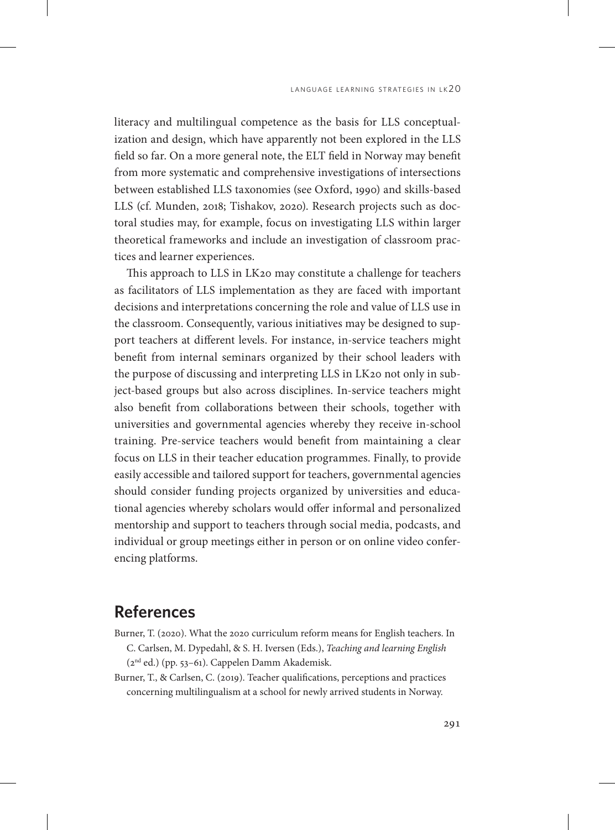literacy and multilingual competence as the basis for LLS conceptualization and design, which have apparently not been explored in the LLS field so far. On a more general note, the ELT field in Norway may benefit from more systematic and comprehensive investigations of intersections between established LLS taxonomies (see Oxford, 1990) and skills-based LLS (cf. Munden, 2018; Tishakov, 2020). Research projects such as doctoral studies may, for example, focus on investigating LLS within larger theoretical frameworks and include an investigation of classroom practices and learner experiences.

This approach to LLS in LK20 may constitute a challenge for teachers as facilitators of LLS implementation as they are faced with important decisions and interpretations concerning the role and value of LLS use in the classroom. Consequently, various initiatives may be designed to support teachers at different levels. For instance, in-service teachers might benefit from internal seminars organized by their school leaders with the purpose of discussing and interpreting LLS in LK20 not only in subject-based groups but also across disciplines. In-service teachers might also benefit from collaborations between their schools, together with universities and governmental agencies whereby they receive in-school training. Pre-service teachers would benefit from maintaining a clear focus on LLS in their teacher education programmes. Finally, to provide easily accessible and tailored support for teachers, governmental agencies should consider funding projects organized by universities and educational agencies whereby scholars would offer informal and personalized mentorship and support to teachers through social media, podcasts, and individual or group meetings either in person or on online video conferencing platforms.

## **References**

- Burner, T. (2020). What the 2020 curriculum reform means for English teachers. In C. Carlsen, M. Dypedahl, & S. H. Iversen (Eds.), *Teaching and learning English* (2nd ed.) (pp. 53–61). Cappelen Damm Akademisk.
- Burner, T., & Carlsen, C. (2019). Teacher qualifications, perceptions and practices concerning multilingualism at a school for newly arrived students in Norway.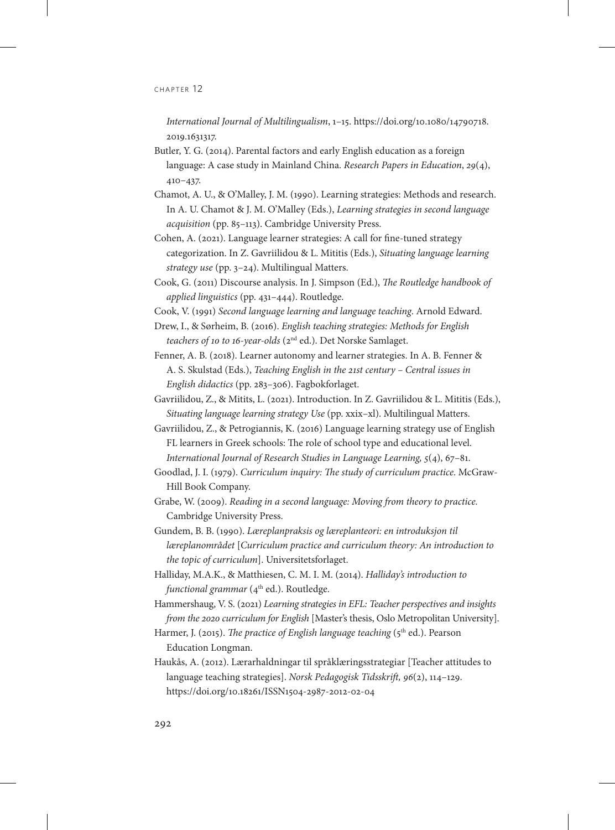*International Journal of Multilingualism*, 1–15. [https://doi.org/10.1080/14790718.](https://doi.org/10.1080/14790718.2019.1631317) [2019.1631317.](https://doi.org/10.1080/14790718.2019.1631317)

- Butler, Y. G. (2014). Parental factors and early English education as a foreign language: A case study in Mainland China. *Research Papers in Education*, *29*(4), 410–437.
- Chamot, A. U., & O'Malley, J. M. (1990). Learning strategies: Methods and research. In A. U. Chamot & J. M. O'Malley (Eds.), *Learning strategies in second language acquisition* (pp. 85–113). Cambridge University Press.
- Cohen, A. (2021). Language learner strategies: A call for fine-tuned strategy categorization. In Z. Gavriilidou & L. Mititis (Eds.), *Situating language learning strategy use* (pp. 3–24). Multilingual Matters.
- Cook, G. (2011) Discourse analysis. In J. Simpson (Ed.), *The Routledge handbook of applied linguistics* (pp. 431–444). Routledge.
- Cook, V. (1991) *Second language learning and language teaching*. Arnold Edward.
- Drew, I., & Sørheim, B. (2016). *English teaching strategies: Methods for English teachers of 10 to 16-year-olds* (2nd ed.). Det Norske Samlaget.
- Fenner, A. B. (2018). Learner autonomy and learner strategies. In A. B. Fenner & A. S. Skulstad (Eds.), *Teaching English in the 21st century – Central issues in English didactics* (pp. 283–306). Fagbokforlaget.
- Gavriilidou, Z., & Mitits, L. (2021). Introduction. In Z. Gavriilidou & L. Mititis (Eds.), *Situating language learning strategy Use* (pp. xxix–xl). Multilingual Matters.
- Gavriilidou, Z., & Petrogiannis, K. (2016) Language learning strategy use of English FL learners in Greek schools: The role of school type and educational level. *International Journal of Research Studies in Language Learning, 5*(4), 67–81.
- Goodlad, J. I. (1979). *Curriculum inquiry: The study of curriculum practice*. McGraw-Hill Book Company.
- Grabe, W. (2009). *Reading in a second language: Moving from theory to practice.*  Cambridge University Press.
- Gundem, B. B. (1990). *Læreplanpraksis og læreplanteori: en introduksjon til læreplanområdet* [*Curriculum practice and curriculum theory: An introduction to the topic of curriculum*]. Universitetsforlaget.
- Halliday, M.A.K., & Matthiesen, C. M. I. M. (2014). *Halliday's introduction to functional grammar* (4<sup>th</sup> ed.). Routledge.
- Hammershaug, V. S. (2021) *Learning strategies in EFL: Teacher perspectives and insights from the 2020 curriculum for English* [Master's thesis, Oslo Metropolitan University].
- Harmer, J. (2015). *The practice of English language teaching* (5<sup>th</sup> ed.). Pearson Education Longman.
- Haukås, A. (2012). Lærarhaldningar til språklæringsstrategiar [Teacher attitudes to language teaching strategies]. *Norsk Pedagogisk Tidsskrift, 96*(2), 114–129. https://doi.org/10.18261/ISSN1504-2987-2012-02-04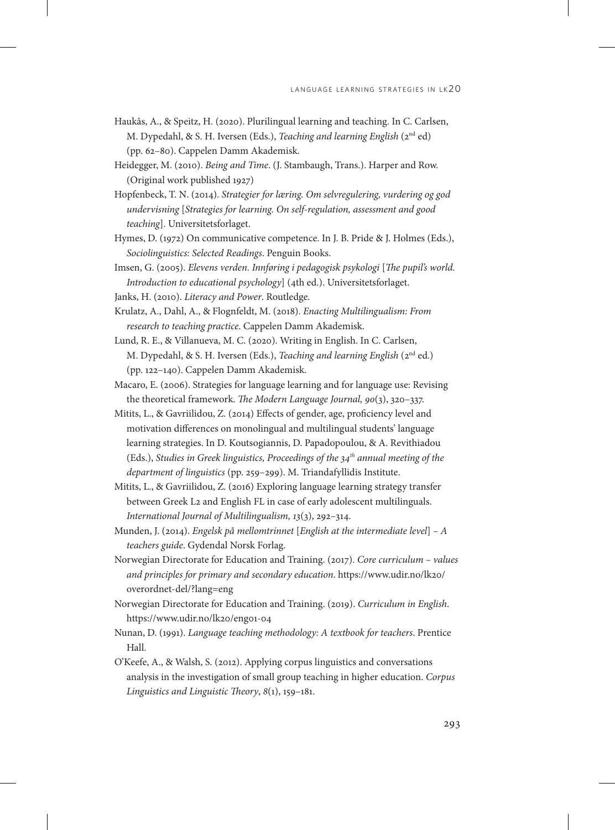- Haukås, A., & Speitz, H. (2020). Plurilingual learning and teaching. In C. Carlsen, M. Dypedahl, & S. H. Iversen (Eds.), *Teaching and learning English* (2nd ed) (pp. 62–80). Cappelen Damm Akademisk.
- Heidegger, M. (2010). *Being and Time*. (J. Stambaugh, Trans.). Harper and Row. (Original work published 1927)
- Hopfenbeck, T. N. (2014). *Strategier for læring. Om selvregulering, vurdering og god undervisning* [*Strategies for learning. On self-regulation, assessment and good teaching*]. Universitetsforlaget.
- Hymes, D. (1972) On communicative competence. In J. B. Pride & J. Holmes (Eds.), *Sociolinguistics: Selected Readings*. Penguin Books.
- Imsen, G. (2005). *Elevens verden. Innføring i pedagogisk psykologi* [*The pupil's world. Introduction to educational psychology*] (4th ed.). Universitetsforlaget.
- Janks, H. (2010). *Literacy and Power*. Routledge.
- Krulatz, A., Dahl, A., & Flognfeldt, M. (2018). *Enacting Multilingualism: From research to teaching practice*. Cappelen Damm Akademisk.
- Lund, R. E., & Villanueva, M. C. (2020). Writing in English. In C. Carlsen, M. Dypedahl, & S. H. Iversen (Eds.), *Teaching and learning English* (2nd ed.) (pp. 122–140). Cappelen Damm Akademisk.
- Macaro, E. (2006). Strategies for language learning and for language use: Revising the theoretical framework. *The Modern Language Journal, 90*(3), 320–337.
- Mitits, L., & Gavriilidou, Z. (2014) Effects of gender, age, proficiency level and motivation differences on monolingual and multilingual students' language learning strategies. In D. Koutsogiannis, D. Papadopoulou, & A. Revithiadou (Eds.), *Studies in Greek linguistics, Proceedings of the 34<sup>th</sup> annual meeting of the department of linguistics* (pp. 259–299). M. Triandafyllidis Institute.
- Mitits, L., & Gavriilidou, Z. (2016) Exploring language learning strategy transfer between Greek L2 and English FL in case of early adolescent multilinguals. *International Journal of Multilingualism, 13*(3), 292–314.
- Munden, J. (2014). *Engelsk på mellomtrinnet* [*English at the intermediate level*] *A teachers guide*. Gydendal Norsk Forlag.
- Norwegian Directorate for Education and Training. (2017). *Core curriculum values and principles for primary and secondary education*. [https://www.udir.no/lk20/](https://www.udir.no/lk20/overordnet-del/?lang=eng) [overordnet-del/?lang=eng](https://www.udir.no/lk20/overordnet-del/?lang=eng)
- Norwegian Directorate for Education and Training. (2019). *Curriculum in English*. https://www.udir.no/lk20/eng01-04
- Nunan, D. (1991). *Language teaching methodology: A textbook for teachers*. Prentice Hall.
- O'Keefe, A., & Walsh, S. (2012). Applying corpus linguistics and conversations analysis in the investigation of small group teaching in higher education. *Corpus Linguistics and Linguistic Theory*, *8*(1), 159–181.